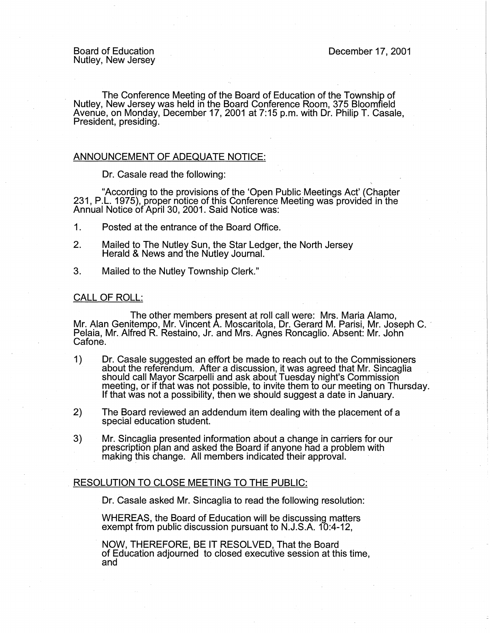The Conference Meeting of the Board of Education of the Township of Nutley, New Jersey was held in the Board Conference Room, 375 Bloomfield Avenue, on Monday, December 17, 2001 at 7:15 p.m. with Dr. Philip T. Casale, President, presiding.

## ANNOUNCEMENT OF ADEQUATE NOTICE:

Dr. Casale read the following:

"According to the provisions of the 'Open Public Meetings Act' (Chapter 231, P.L. 1975), proper notice of this Conference Meeting was provided in the Annual Notice of April 30, 2001. Said Notice was:

- 1 . Posted at the entrance of the Board Office.
- 2. Mailed to The Nutley Sun, the Star Ledger, the North Jersey Herald & News and the Nutley Journal.
- 3. Mailed to the Nutley Township Clerk."

## CALL OF ROLL:

The other members present at roll call were: Mrs. Maria Alamo,<br>Mr. Alan Genitempo, Mr. Vincent A. Moscaritola, Dr. Gerard M. Parisi, Mr. Joseph C. Pelaia, Mr. Alfred R. Restaino, Jr. and Mrs. Agnes Roncaglio. Absent: Mr. John Cafone.

- 1) Dr. Casale suggested an effort be made to reach out to the Commissioners about the referendum. After a discussion, it was agreed that Mr. Sincaglia should call Mayor Scarpelli and ask about Tuesday night's Commission meeting, or if that was not possible, to invite them to our meeting on Thursday. If that was not a possibility, then we should suggest a date in January.
- 2) The Board reviewed an addendum item dealing with the placement of a special education student.
- 3) Mr. Sincaglia presented information about a change in carriers for our prescription plan and asked the Board if anyone had a problem with making this change. All members indicated their approval.

## RESOLUTION TO CLOSE MEETING TO THE PUBLIC:

Dr. Casale asked Mr. Sincaglia to read the following resolution:

WHEREAS, the Board of Education will be discussing matters exempt from public discussion pursuant to N.J.S.A. 10:4-12,

NOW, THEREFORE, BE IT RESOLVED, That the Board of Education adjourned to closed executive session at this time, and